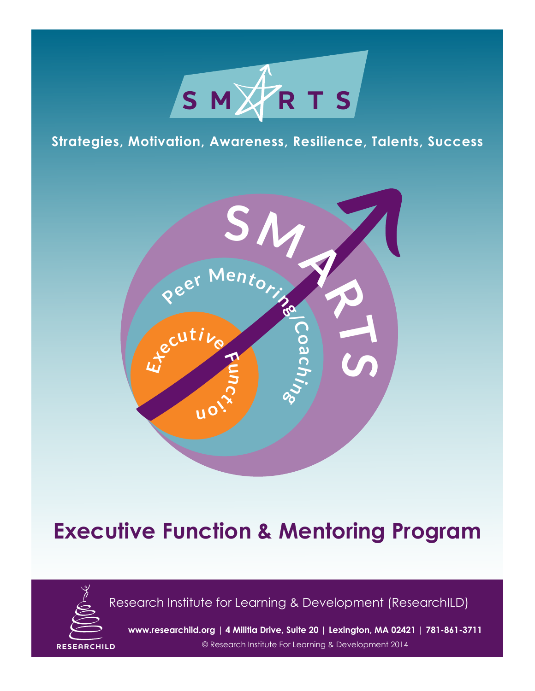

## **Strategies, Motivation, Awareness, Resilience, Talents, Success**



## **Executive Function & Mentoring Program**



Research Institute for Learning & Development (ResearchILD)

**www.researchild.org | 4 Militia Drive, Suite 20 | Lexington, MA 02421 | 781-861-3711**

**RESEARCHILD** © Research Institute For Learning & Development 2014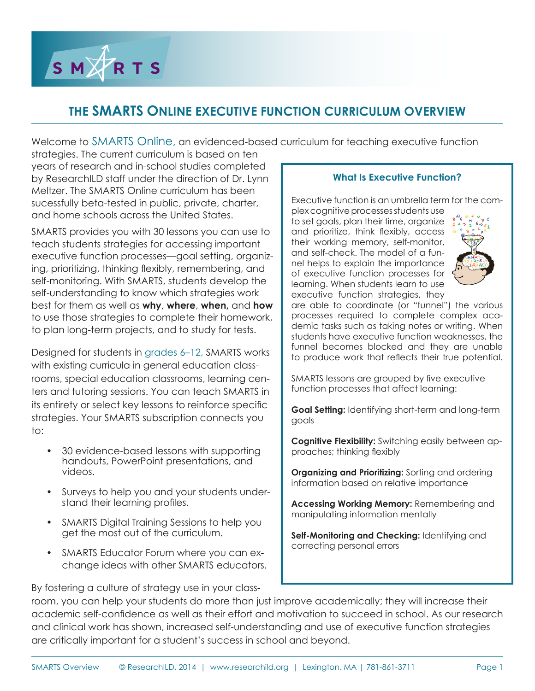SMARTS

## **THE SMARTS ONLINE EXECUTIVE FUNCTION CURRICULUM OVERVIEW**

Welcome to SMARTS Online, an evidenced-based curriculum for teaching executive function

strategies. The current curriculum is based on ten years of research and in-school studies completed by ResearchILD staff under the direction of Dr. Lynn Meltzer. The SMARTS Online curriculum has been sucessfully beta-tested in public, private, charter, and home schools across the United States.

SMARTS provides you with 30 lessons you can use to teach students strategies for accessing important executive function processes—goal setting, organizing, prioritizing, thinking flexibly, remembering, and self-monitoring. With SMARTS, students develop the self-understanding to know which strategies work best for them as well as **why**, **where**, **when,** and **how** to use those strategies to complete their homework, to plan long-term projects, and to study for tests.

Designed for students in grades 6–12, SMARTS works with existing curricula in general education classrooms, special education classrooms, learning centers and tutoring sessions. You can teach SMARTS in its entirety or select key lessons to reinforce specific strategies. Your SMARTS subscription connects you to:

- 30 evidence-based lessons with supporting handouts, PowerPoint presentations, and videos.
- Surveys to help you and your students understand their learning profiles.
- SMARTS Digital Training Sessions to help you get the most out of the curriculum.
- SMARTS Educator Forum where you can exchange ideas with other SMARTS educators.

**What Is Executive Function?**

Executive function is an umbrella term for the complex cognitive processes students use

to set goals, plan their time, organize and prioritize, think flexibly, access their working memory, self-monitor, and self-check. The model of a funnel helps to explain the importance of executive function processes for learning. When students learn to use executive function strategies, they



are able to coordinate (or "funnel") the various processes required to complete complex academic tasks such as taking notes or writing. When students have executive function weaknesses, the funnel becomes blocked and they are unable to produce work that reflects their true potential.

SMARTS lessons are grouped by five executive function processes that affect learning:

**Goal Setting:** Identifying short-term and long-term goals

**Cognitive Flexibility:** Switching easily between approaches; thinking flexibly

**Organizing and Prioritizing:** Sorting and ordering information based on relative importance

**Accessing Working Memory:** Remembering and manipulating information mentally

**Self-Monitoring and Checking:** Identifying and correcting personal errors

By fostering a culture of strategy use in your class-

room, you can help your students do more than just improve academically; they will increase their academic self-confidence as well as their effort and motivation to succeed in school. As our research and clinical work has shown, increased self-understanding and use of executive function strategies are critically important for a student's success in school and beyond.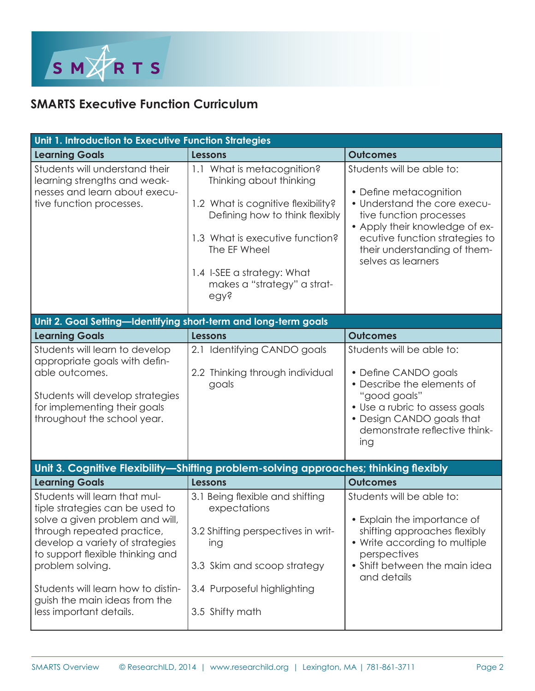

## **SMARTS Executive Function Curriculum**

| Unit 1. Introduction to Executive Function Strategies                                                                                                                                                                                                                                                                          |                                                                                                                                                                                                                                                       |                                                                                                                                                                                                                                          |  |
|--------------------------------------------------------------------------------------------------------------------------------------------------------------------------------------------------------------------------------------------------------------------------------------------------------------------------------|-------------------------------------------------------------------------------------------------------------------------------------------------------------------------------------------------------------------------------------------------------|------------------------------------------------------------------------------------------------------------------------------------------------------------------------------------------------------------------------------------------|--|
| <b>Learning Goals</b>                                                                                                                                                                                                                                                                                                          | <b>Lessons</b>                                                                                                                                                                                                                                        | <b>Outcomes</b>                                                                                                                                                                                                                          |  |
| Students will understand their<br>learning strengths and weak-<br>nesses and learn about execu-<br>tive function processes.                                                                                                                                                                                                    | 1.1 What is metacognition?<br>Thinking about thinking<br>1.2 What is cognitive flexibility?<br>Defining how to think flexibly<br>1.3 What is executive function?<br>The EF Wheel<br>1.4 I-SEE a strategy: What<br>makes a "strategy" a strat-<br>egy? | Students will be able to:<br>• Define metacognition<br>• Understand the core execu-<br>tive function processes<br>• Apply their knowledge of ex-<br>ecutive function strategies to<br>their understanding of them-<br>selves as learners |  |
| Unit 2. Goal Setting-Identifying short-term and long-term goals                                                                                                                                                                                                                                                                |                                                                                                                                                                                                                                                       |                                                                                                                                                                                                                                          |  |
| <b>Learning Goals</b>                                                                                                                                                                                                                                                                                                          | <b>Lessons</b>                                                                                                                                                                                                                                        | <b>Outcomes</b>                                                                                                                                                                                                                          |  |
| Students will learn to develop<br>appropriate goals with defin-<br>able outcomes.<br>Students will develop strategies<br>for implementing their goals<br>throughout the school year.                                                                                                                                           | 2.1 Identifying CANDO goals<br>2.2 Thinking through individual<br>goals                                                                                                                                                                               | Students will be able to:<br>• Define CANDO goals<br>• Describe the elements of<br>"good goals"<br>• Use a rubric to assess goals<br>• Design CANDO goals that<br>demonstrate reflective think-<br>ing                                   |  |
|                                                                                                                                                                                                                                                                                                                                | Unit 3. Cognitive Flexibility-Shifting problem-solving approaches; thinking flexibly                                                                                                                                                                  |                                                                                                                                                                                                                                          |  |
| <b>Learning Goals</b>                                                                                                                                                                                                                                                                                                          | <b>Lessons</b>                                                                                                                                                                                                                                        | <b>Outcomes</b>                                                                                                                                                                                                                          |  |
| Students will learn that mul-<br>tiple strategies can be used to<br>solve a given problem and will,<br>through repeated practice,<br>develop a variety of strategies<br>to support flexible thinking and<br>problem solving.<br>Students will learn how to distin-<br>guish the main ideas from the<br>less important details. | 3.1 Being flexible and shifting<br>expectations<br>3.2 Shifting perspectives in writ-<br>ing<br>3.3 Skim and scoop strategy<br>3.4 Purposeful highlighting<br>3.5 Shifty math                                                                         | Students will be able to:<br>• Explain the importance of<br>shifting approaches flexibly<br>• Write according to multiple<br>perspectives<br>• Shift between the main idea<br>and details                                                |  |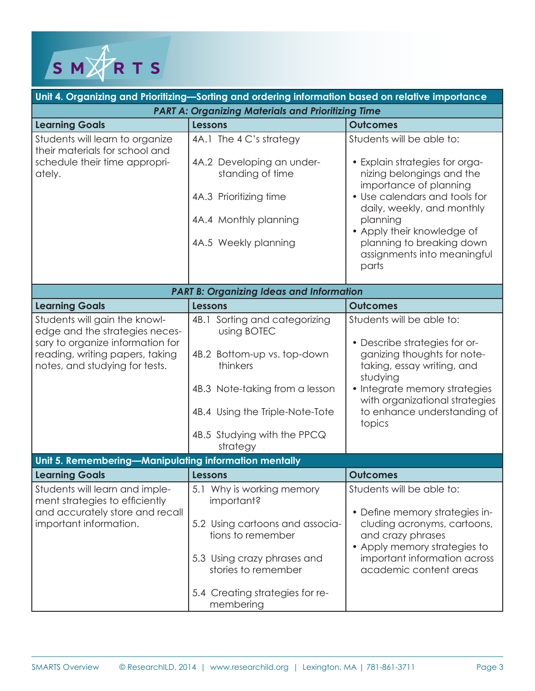

| Unit 4. Organizing and Prioritizing—Sorting and ordering information based on relative importance                                                                        |                                                                                                                                                                                                         |                                                                                                                                                                                                                                                                                                  |  |  |
|--------------------------------------------------------------------------------------------------------------------------------------------------------------------------|---------------------------------------------------------------------------------------------------------------------------------------------------------------------------------------------------------|--------------------------------------------------------------------------------------------------------------------------------------------------------------------------------------------------------------------------------------------------------------------------------------------------|--|--|
| <b>PART A: Organizing Materials and Prioritizing Time</b>                                                                                                                |                                                                                                                                                                                                         |                                                                                                                                                                                                                                                                                                  |  |  |
| <b>Learning Goals</b>                                                                                                                                                    | <b>Lessons</b>                                                                                                                                                                                          | <b>Outcomes</b>                                                                                                                                                                                                                                                                                  |  |  |
| Students will learn to organize<br>their materials for school and<br>schedule their time appropri-<br>ately.                                                             | 4A.1 The 4 C's strategy<br>4A.2 Developing an under-<br>standing of time<br>4A.3 Prioritizing time<br>4A.4 Monthly planning<br>4A.5 Weekly planning                                                     | Students will be able to:<br>• Explain strategies for orga-<br>nizing belongings and the<br>importance of planning<br>• Use calendars and tools for<br>daily, weekly, and monthly<br>planning<br>• Apply their knowledge of<br>planning to breaking down<br>assignments into meaningful<br>parts |  |  |
| <b>PART B: Organizing Ideas and Information</b>                                                                                                                          |                                                                                                                                                                                                         |                                                                                                                                                                                                                                                                                                  |  |  |
| <b>Learning Goals</b>                                                                                                                                                    | <b>Lessons</b>                                                                                                                                                                                          | <b>Outcomes</b>                                                                                                                                                                                                                                                                                  |  |  |
| Students will gain the knowl-<br>edge and the strategies neces-<br>sary to organize information for<br>reading, writing papers, taking<br>notes, and studying for tests. | 4B.1 Sorting and categorizing<br>using BOTEC<br>4B.2 Bottom-up vs. top-down<br>thinkers<br>4B.3 Note-taking from a lesson<br>4B.4 Using the Triple-Note-Tote<br>4B.5 Studying with the PPCQ<br>strategy | Students will be able to:<br>• Describe strategies for or-<br>ganizing thoughts for note-<br>taking, essay writing, and<br>studying<br>• Integrate memory strategies<br>with organizational strategies<br>to enhance understanding of<br>topics                                                  |  |  |
| Unit 5. Remembering-Manipulating information mentally                                                                                                                    |                                                                                                                                                                                                         |                                                                                                                                                                                                                                                                                                  |  |  |
| <b>Learning Goals</b>                                                                                                                                                    | <b>Lessons</b>                                                                                                                                                                                          | <b>Outcomes</b>                                                                                                                                                                                                                                                                                  |  |  |
| Students will learn and imple-<br>ment strategies to efficiently<br>and accurately store and recall<br>important information.                                            | 5.1 Why is working memory<br>important?<br>5.2 Using cartoons and associa-<br>tions to remember<br>5.3 Using crazy phrases and<br>stories to remember<br>5.4 Creating strategies for re-<br>membering   | Students will be able to:<br>• Define memory strategies in-<br>cluding acronyms, cartoons,<br>and crazy phrases<br>• Apply memory strategies to<br>important information across<br>academic content areas                                                                                        |  |  |